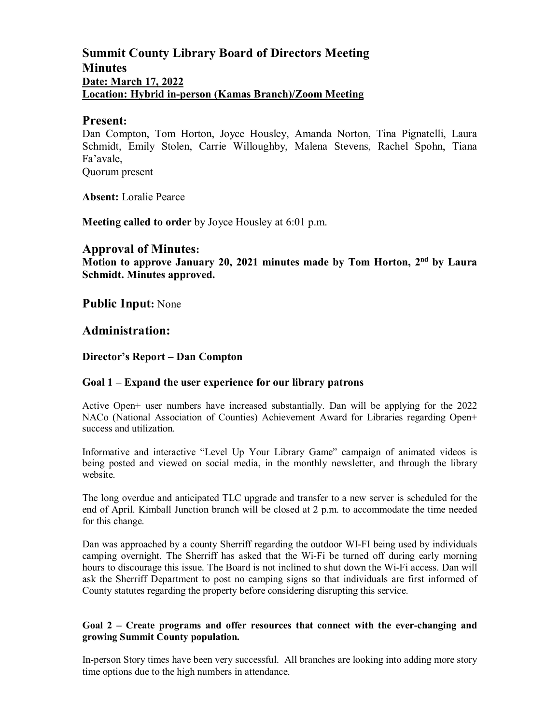## **Summit County Library Board of Directors Meeting Minutes Date: March 17, 2022 Location: Hybrid in-person (Kamas Branch)/Zoom Meeting**

#### **Present:**

Dan Compton, Tom Horton, Joyce Housley, Amanda Norton, Tina Pignatelli, Laura Schmidt, Emily Stolen, Carrie Willoughby, Malena Stevens, Rachel Spohn, Tiana Fa'avale,

Quorum present

**Absent:** Loralie Pearce

**Meeting called to order** by Joyce Housley at 6:01 p.m.

## **Approval of Minutes:**

**Motion to approve January 20, 2021 minutes made by Tom Horton, 2nd by Laura Schmidt. Minutes approved.** 

**Public Input:** None

## **Administration:**

#### **Director's Report – Dan Compton**

#### **Goal 1 – Expand the user experience for our library patrons**

Active Open+ user numbers have increased substantially. Dan will be applying for the 2022 NACo (National Association of Counties) Achievement Award for Libraries regarding Open+ success and utilization.

Informative and interactive "Level Up Your Library Game" campaign of animated videos is being posted and viewed on social media, in the monthly newsletter, and through the library website.

The long overdue and anticipated TLC upgrade and transfer to a new server is scheduled for the end of April. Kimball Junction branch will be closed at 2 p.m. to accommodate the time needed for this change.

Dan was approached by a county Sherriff regarding the outdoor WI-FI being used by individuals camping overnight. The Sherriff has asked that the Wi-Fi be turned off during early morning hours to discourage this issue. The Board is not inclined to shut down the Wi-Fi access. Dan will ask the Sherriff Department to post no camping signs so that individuals are first informed of County statutes regarding the property before considering disrupting this service.

#### **Goal 2 – Create programs and offer resources that connect with the ever-changing and growing Summit County population.**

In-person Story times have been very successful. All branches are looking into adding more story time options due to the high numbers in attendance.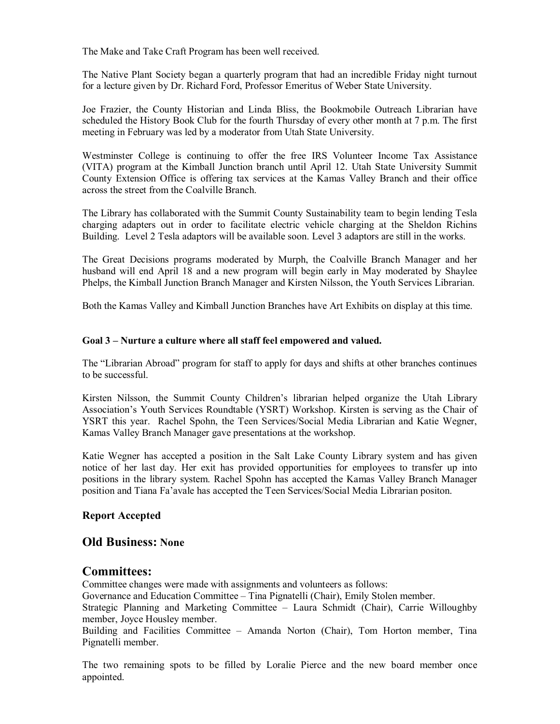The Make and Take Craft Program has been well received.

The Native Plant Society began a quarterly program that had an incredible Friday night turnout for a lecture given by Dr. Richard Ford, Professor Emeritus of Weber State University.

Joe Frazier, the County Historian and Linda Bliss, the Bookmobile Outreach Librarian have scheduled the History Book Club for the fourth Thursday of every other month at 7 p.m. The first meeting in February was led by a moderator from Utah State University.

Westminster College is continuing to offer the free IRS Volunteer Income Tax Assistance (VITA) program at the Kimball Junction branch until April 12. Utah State University Summit County Extension Office is offering tax services at the Kamas Valley Branch and their office across the street from the Coalville Branch.

The Library has collaborated with the Summit County Sustainability team to begin lending Tesla charging adapters out in order to facilitate electric vehicle charging at the Sheldon Richins Building. Level 2 Tesla adaptors will be available soon. Level 3 adaptors are still in the works.

The Great Decisions programs moderated by Murph, the Coalville Branch Manager and her husband will end April 18 and a new program will begin early in May moderated by Shaylee Phelps, the Kimball Junction Branch Manager and Kirsten Nilsson, the Youth Services Librarian.

Both the Kamas Valley and Kimball Junction Branches have Art Exhibits on display at this time.

#### **Goal 3 – Nurture a culture where all staff feel empowered and valued.**

The "Librarian Abroad" program for staff to apply for days and shifts at other branches continues to be successful.

Kirsten Nilsson, the Summit County Children's librarian helped organize the Utah Library Association's Youth Services Roundtable (YSRT) Workshop. Kirsten is serving as the Chair of YSRT this year. Rachel Spohn, the Teen Services/Social Media Librarian and Katie Wegner, Kamas Valley Branch Manager gave presentations at the workshop.

Katie Wegner has accepted a position in the Salt Lake County Library system and has given notice of her last day. Her exit has provided opportunities for employees to transfer up into positions in the library system. Rachel Spohn has accepted the Kamas Valley Branch Manager position and Tiana Fa'avale has accepted the Teen Services/Social Media Librarian positon.

#### **Report Accepted**

#### **Old Business: None**

#### **Committees:**

Committee changes were made with assignments and volunteers as follows: Governance and Education Committee – Tina Pignatelli (Chair), Emily Stolen member. Strategic Planning and Marketing Committee – Laura Schmidt (Chair), Carrie Willoughby member, Joyce Housley member.

Building and Facilities Committee – Amanda Norton (Chair), Tom Horton member, Tina Pignatelli member.

The two remaining spots to be filled by Loralie Pierce and the new board member once appointed.